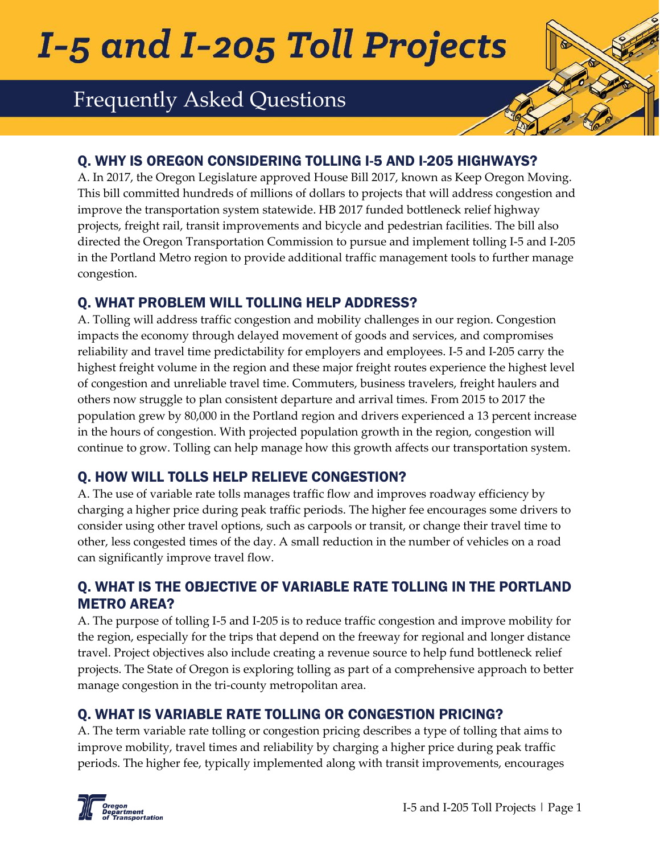# I-5 and I-205 Toll Projects

# Frequently Asked Questions

#### Q. WHY IS OREGON CONSIDERING TOLLING I-5 AND I-205 HIGHWAYS?

A. In 2017, the Oregon Legislature approved House Bill 2017, known as Keep Oregon Moving. This bill committed hundreds of millions of dollars to projects that will address congestion and improve the transportation system statewide. HB 2017 funded bottleneck relief highway projects, freight rail, transit improvements and bicycle and pedestrian facilities. The bill also directed the Oregon Transportation Commission to pursue and implement tolling I-5 and I-205 in the Portland Metro region to provide additional traffic management tools to further manage congestion.

#### Q. WHAT PROBLEM WILL TOLLING HELP ADDRESS?

A. Tolling will address traffic congestion and mobility challenges in our region. Congestion impacts the economy through delayed movement of goods and services, and compromises reliability and travel time predictability for employers and employees. I-5 and I-205 carry the highest freight volume in the region and these major freight routes experience the highest level of congestion and unreliable travel time. Commuters, business travelers, freight haulers and others now struggle to plan consistent departure and arrival times. From 2015 to 2017 the population grew by 80,000 in the Portland region and drivers experienced a 13 percent increase in the hours of congestion. With projected population growth in the region, congestion will continue to grow. Tolling can help manage how this growth affects our transportation system.

#### Q. HOW WILL TOLLS HELP RELIEVE CONGESTION?

A. The use of variable rate tolls manages traffic flow and improves roadway efficiency by charging a higher price during peak traffic periods. The higher fee encourages some drivers to consider using other travel options, such as carpools or transit, or change their travel time to other, less congested times of the day. A small reduction in the number of vehicles on a road can significantly improve travel flow.

#### Q. WHAT IS THE OBJECTIVE OF VARIABLE RATE TOLLING IN THE PORTLAND METRO AREA?

A. The purpose of tolling I-5 and I-205 is to reduce traffic congestion and improve mobility for the region, especially for the trips that depend on the freeway for regional and longer distance travel. Project objectives also include creating a revenue source to help fund bottleneck relief projects. The State of Oregon is exploring tolling as part of a comprehensive approach to better manage congestion in the tri-county metropolitan area.

# Q. WHAT IS VARIABLE RATE TOLLING OR CONGESTION PRICING?

A. The term variable rate tolling or congestion pricing describes a type of tolling that aims to improve mobility, travel times and reliability by charging a higher price during peak traffic periods. The higher fee, typically implemented along with transit improvements, encourages

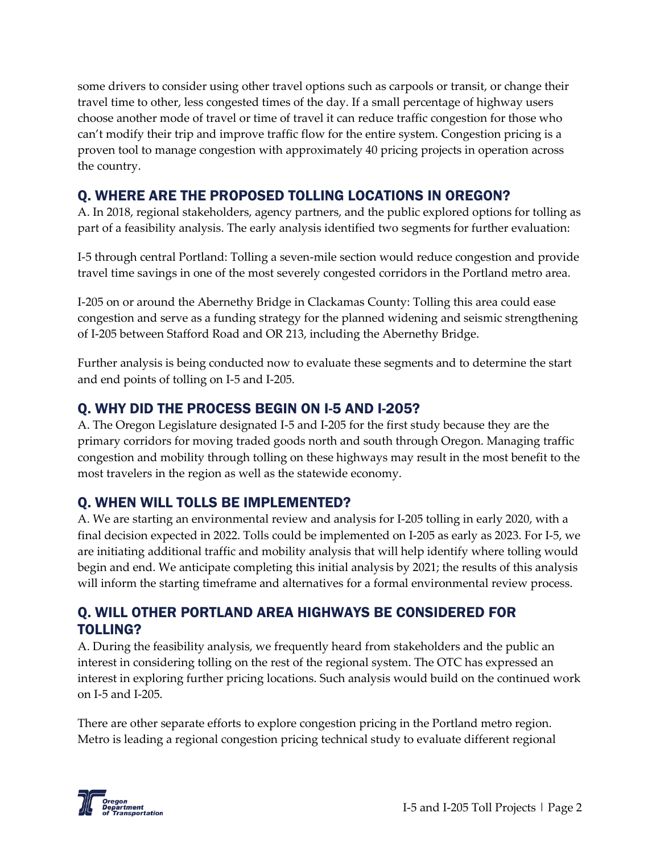some drivers to consider using other travel options such as carpools or transit, or change their travel time to other, less congested times of the day. If a small percentage of highway users choose another mode of travel or time of travel it can reduce traffic congestion for those who can't modify their trip and improve traffic flow for the entire system. Congestion pricing is a proven tool to manage congestion with approximately 40 pricing projects in operation across the country.

#### Q. WHERE ARE THE PROPOSED TOLLING LOCATIONS IN OREGON?

A. In 2018, regional stakeholders, agency partners, and the public explored options for tolling as part of a feasibility analysis. The early analysis identified two segments for further evaluation:

I-5 through central Portland: Tolling a seven-mile section would reduce congestion and provide travel time savings in one of the most severely congested corridors in the Portland metro area.

I-205 on or around the Abernethy Bridge in Clackamas County: Tolling this area could ease congestion and serve as a funding strategy for the planned widening and seismic strengthening of I-205 between Stafford Road and OR 213, including the Abernethy Bridge.

Further analysis is being conducted now to evaluate these segments and to determine the start and end points of tolling on I-5 and I-205.

# Q. WHY DID THE PROCESS BEGIN ON I-5 AND I-205?

A. The Oregon Legislature designated I-5 and I-205 for the first study because they are the primary corridors for moving traded goods north and south through Oregon. Managing traffic congestion and mobility through tolling on these highways may result in the most benefit to the most travelers in the region as well as the statewide economy.

# Q. WHEN WILL TOLLS BE IMPLEMENTED?

A. We are starting an environmental review and analysis for I-205 tolling in early 2020, with a final decision expected in 2022. Tolls could be implemented on I-205 as early as 2023. For I-5, we are initiating additional traffic and mobility analysis that will help identify where tolling would begin and end. We anticipate completing this initial analysis by 2021; the results of this analysis will inform the starting timeframe and alternatives for a formal environmental review process.

#### Q. WILL OTHER PORTLAND AREA HIGHWAYS BE CONSIDERED FOR TOLLING?

A. During the feasibility analysis, we frequently heard from stakeholders and the public an interest in considering tolling on the rest of the regional system. The OTC has expressed an interest in exploring further pricing locations. Such analysis would build on the continued work on I-5 and I-205.

There are other separate efforts to explore congestion pricing in the Portland metro region. Metro is leading a regional congestion pricing technical study to evaluate different regional

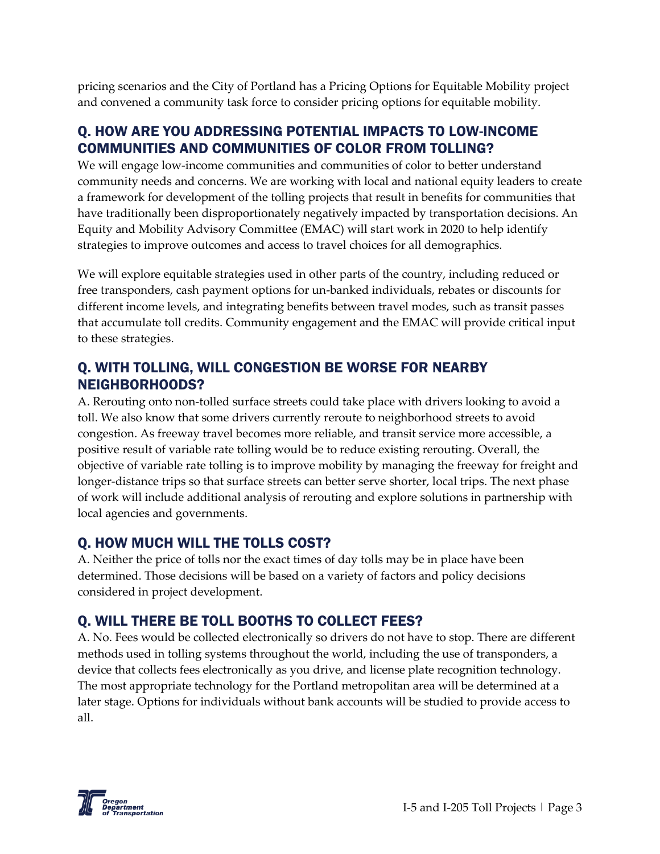pricing scenarios and the [City of Portland](https://www.portlandoregon.gov/transportation/79819) has a Pricing Options for Equitable Mobility project and convened a community task force to consider pricing options for equitable mobility.

#### Q. HOW ARE YOU ADDRESSING POTENTIAL IMPACTS TO LOW-INCOME COMMUNITIES AND COMMUNITIES OF COLOR FROM TOLLING?

We will engage low-income communities and communities of color to better understand community needs and concerns. We are working with local and national equity leaders to create a framework for development of the tolling projects that result in benefits for communities that have traditionally been disproportionately negatively impacted by transportation decisions. An Equity and Mobility Advisory Committee (EMAC) will start work in 2020 to help identify strategies to improve outcomes and access to travel choices for all demographics.

We will explore equitable strategies used in other parts of the country, including reduced or free transponders, cash payment options for un-banked individuals, rebates or discounts for different income levels, and integrating benefits between travel modes, such as transit passes that accumulate toll credits. Community engagement and the EMAC will provide critical input to these strategies.

#### Q. WITH TOLLING, WILL CONGESTION BE WORSE FOR NEARBY NEIGHBORHOODS?

A. Rerouting onto non-tolled surface streets could take place with drivers looking to avoid a toll. We also know that some drivers currently reroute to neighborhood streets to avoid congestion. As freeway travel becomes more reliable, and transit service more accessible, a positive result of variable rate tolling would be to reduce existing rerouting. Overall, the objective of variable rate tolling is to improve mobility by managing the freeway for freight and longer-distance trips so that surface streets can better serve shorter, local trips. The next phase of work will include additional analysis of rerouting and explore solutions in partnership with local agencies and governments.

# Q. HOW MUCH WILL THE TOLLS COST?

A. Neither the price of tolls nor the exact times of day tolls may be in place have been determined. Those decisions will be based on a variety of factors and policy decisions considered in project development.

# Q. WILL THERE BE TOLL BOOTHS TO COLLECT FEES?

A. No. Fees would be collected electronically so drivers do not have to stop. There are different methods used in tolling systems throughout the world, including the use of transponders, a device that collects fees electronically as you drive, and license plate recognition technology. The most appropriate technology for the Portland metropolitan area will be determined at a later stage. Options for individuals without bank accounts will be studied to provide access to all.

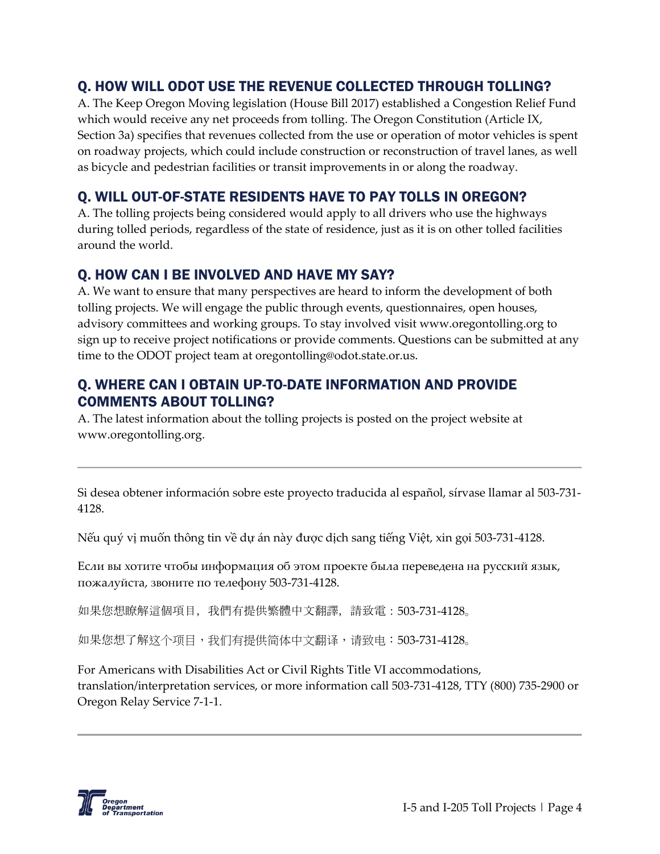#### Q. HOW WILL ODOT USE THE REVENUE COLLECTED THROUGH TOLLING?

A. The Keep Oregon Moving legislation (House Bill 2017) established a Congestion Relief Fund which would receive any net proceeds from tolling. The Oregon Constitution (Article IX, Section 3a) specifies that revenues collected from the use or operation of motor vehicles is spent on roadway projects, which could include construction or reconstruction of travel lanes, as well as bicycle and pedestrian facilities or transit improvements in or along the roadway.

### Q. WILL OUT-OF-STATE RESIDENTS HAVE TO PAY TOLLS IN OREGON?

A. The tolling projects being considered would apply to all drivers who use the highways during tolled periods, regardless of the state of residence, just as it is on other tolled facilities around the world.

#### Q. HOW CAN I BE INVOLVED AND HAVE MY SAY?

A. We want to ensure that many perspectives are heard to inform the development of both tolling projects. We will engage the public through events, questionnaires, open houses, advisory committees and working groups. To stay involved visit www.oregontolling.org to sign up to receive project notifications or provide comments. Questions can be submitted at any time to the ODOT project team at oregontolling@odot.state.or.us.

#### Q. WHERE CAN I OBTAIN UP-TO-DATE INFORMATION AND PROVIDE COMMENTS ABOUT TOLLING?

A. The latest information about the tolling projects is posted on the project website at www.oregontolling.org.

Si desea obtener información sobre este proyecto traducida al español, sírvase llamar al 503-731- 4128.

Nếu quý vị muốn thông tin về dự án này được dịch sang tiếng Việt, xin gọi 503-731-4128.

Если вы хотите чтобы информация об этом проекте была переведена на русский язык, пожалуйста, звоните по телефону 503-731-4128.

```
如果您想瞭解這個項目,我們有提供繁體中文翻譯,請致電:503-731-4128。
```

```
如果您想了解这个项目,我们有提供简体中文翻译,请致电:503-731-4128。
```
For Americans with Disabilities Act or Civil Rights Title VI accommodations, translation/interpretation services, or more information call 503-731-4128, TTY (800) 735-2900 or Oregon Relay Service 7-1-1.